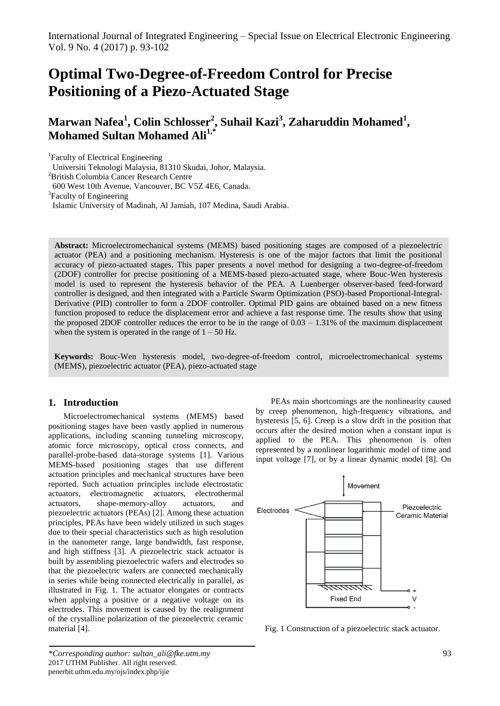# **Optimal Two-Degree-of-Freedom Control for Precise Positioning of a Piezo-Actuated Stage**

**Marwan Nafea<sup>1</sup> , Colin Schlosser<sup>2</sup> , Suhail Kazi<sup>3</sup> , Zaharuddin Mohamed<sup>1</sup> , Mohamed Sultan Mohamed Ali1,\***

<sup>1</sup>Faculty of Electrical Engineering

Universiti Teknologi Malaysia, 81310 Skudai, Johor, Malaysia.

<sup>2</sup>British Columbia Cancer Research Centre

600 West 10th Avenue, Vancouver, BC V5Z 4E6, Canada.

<sup>3</sup>Faculty of Engineering

Islamic University of Madinah, Al Jamiah, 107 Medina, Saudi Arabia.

**Abstract:** Microelectromechanical systems (MEMS) based positioning stages are composed of a piezoelectric actuator (PEA) and a positioning mechanism. Hysteresis is one of the major factors that limit the positional accuracy of piezo-actuated stages. This paper presents a novel method for designing a two-degree-of-freedom (2DOF) controller for precise positioning of a MEMS-based piezo-actuated stage, where Bouc-Wen hysteresis model is used to represent the hysteresis behavior of the PEA. A Luenberger observer-based feed-forward controller is designed, and then integrated with a Particle Swarm Optimization (PSO)-based Proportional-Integral-Derivative (PID) controller to form a 2DOF controller. Optimal PID gains are obtained based on a new fitness function proposed to reduce the displacement error and achieve a fast response time. The results show that using the proposed 2DOF controller reduces the error to be in the range of 0.03 – 1.31% of the maximum displacement when the system is operated in the range of  $1 - 50$  Hz.

**Keywords:** Bouc-Wen hysteresis model, two-degree-of-freedom control, microelectromechanical systems (MEMS), piezoelectric actuator (PEA), piezo-actuated stage

# **1. Introduction**

Microelectromechanical systems (MEMS) based positioning stages have been vastly applied in numerous applications, including scanning tunneling microscopy, atomic force microscopy, optical cross connects, and parallel-probe-based data-storage systems [\[1\]](#page-8-0). Various MEMS-based positioning stages that use different actuation principles and mechanical structures have been reported. Such actuation principles include electrostatic actuators, electromagnetic actuators, electrothermal actuators, shape-memory-alloy actuators, and piezoelectric actuators (PEAs) [\[2\]](#page-8-1). Among these actuation principles, PEAs have been widely utilized in such stages due to their special characteristics such as high resolution in the nanometer range, large bandwidth, fast response, and high stiffness [\[3\]](#page-8-2). A piezoelectric stack actuator is built by assembling piezoelectric wafers and electrodes so that the piezoelectric wafers are connected mechanically in series while being connected electrically in parallel, as illustrated in Fig. 1. The actuator elongates or contracts when applying a positive or a negative voltage on its electrodes. This movement is caused by the realignment of the crystalline polarization of the piezoelectric ceramic material [\[4\]](#page-8-3).

PEAs main shortcomings are the nonlinearity caused by creep phenomenon, high-frequency vibrations, and hysteresis [\[5,](#page-8-4) [6\]](#page-8-5). Creep is a slow drift in the position that occurs after the desired motion when a constant input is applied to the PEA. This phenomenon is often represented by a nonlinear logarithmic model of time and input voltage [\[7\]](#page-8-6), or by a linear dynamic model [\[8\]](#page-8-7). On



Fig. 1 Construction of a piezoelectric stack actuator.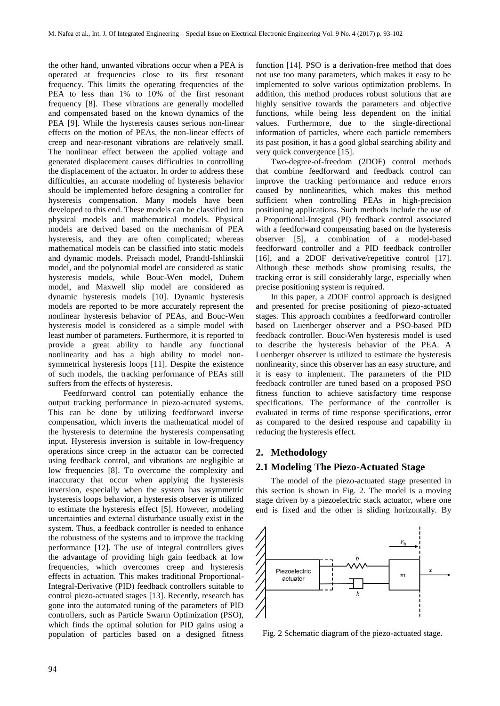the other hand, unwanted vibrations occur when a PEA is operated at frequencies close to its first resonant frequency. This limits the operating frequencies of the PEA to less than 1% to 10% of the first resonant frequency [\[8\]](#page-8-7). These vibrations are generally modelled and compensated based on the known dynamics of the PEA [\[9\]](#page-8-8). While the hysteresis causes serious non-linear effects on the motion of PEAs, the non-linear effects of creep and near-resonant vibrations are relatively small. The nonlinear effect between the applied voltage and generated displacement causes difficulties in controlling the displacement of the actuator. In order to address these difficulties, an accurate modeling of hysteresis behavior should be implemented before designing a controller for hysteresis compensation. Many models have been developed to this end. These models can be classified into physical models and mathematical models. Physical models are derived based on the mechanism of PEA hysteresis, and they are often complicated; whereas mathematical models can be classified into static models and dynamic models. Preisach model, Prandtl-Ishlinskii model, and the polynomial model are considered as static hysteresis models, while Bouc-Wen model, Duhem model, and Maxwell slip model are considered as dynamic hysteresis models [\[10\]](#page-8-9). Dynamic hysteresis models are reported to be more accurately represent the nonlinear hysteresis behavior of PEAs, and Bouc-Wen hysteresis model is considered as a simple model with least number of parameters. Furthermore, it is reported to provide a great ability to handle any functional nonlinearity and has a high ability to model nonsymmetrical hysteresis loops [\[11\]](#page-8-10). Despite the existence of such models, the tracking performance of PEAs still suffers from the effects of hysteresis.

Feedforward control can potentially enhance the output tracking performance in piezo-actuated systems. This can be done by utilizing feedforward inverse compensation, which inverts the mathematical model of the hysteresis to determine the hysteresis compensating input. Hysteresis inversion is suitable in low-frequency operations since creep in the actuator can be corrected using feedback control, and vibrations are negligible at low frequencies [\[8\]](#page-8-7). To overcome the complexity and inaccuracy that occur when applying the hysteresis inversion, especially when the system has asymmetric hysteresis loops behavior, a hysteresis observer is utilized to estimate the hysteresis effect [\[5\]](#page-8-4). However, modeling uncertainties and external disturbance usually exist in the system. Thus, a feedback controller is needed to enhance the robustness of the systems and to improve the tracking performance [\[12\]](#page-8-11). The use of integral controllers gives the advantage of providing high gain feedback at low frequencies, which overcomes creep and hysteresis effects in actuation. This makes traditional Proportional-Integral-Derivative (PID) feedback controllers suitable to control piezo-actuated stages [\[13\]](#page-8-12). Recently, research has gone into the automated tuning of the parameters of PID controllers, such as Particle Swarm Optimization (PSO), which finds the optimal solution for PID gains using a population of particles based on a designed fitness

function [\[14\]](#page-8-13). PSO is a derivation-free method that does not use too many parameters, which makes it easy to be implemented to solve various optimization problems. In addition, this method produces robust solutions that are highly sensitive towards the parameters and objective functions, while being less dependent on the initial values. Furthermore, due to the single-directional information of particles, where each particle remembers its past position, it has a good global searching ability and very quick convergence [\[15\]](#page-8-14).

Two-degree-of-freedom (2DOF) control methods that combine feedforward and feedback control can improve the tracking performance and reduce errors caused by nonlinearities, which makes this method sufficient when controlling PEAs in high-precision positioning applications. Such methods include the use of a Proportional-Integral (PI) feedback control associated with a feedforward compensating based on the hysteresis observer [\[5\]](#page-8-4), a combination of a model-based feedforward controller and a PID feedback controller [\[16\]](#page-8-15), and a 2DOF derivative/repetitive control [\[17\]](#page-8-16). Although these methods show promising results, the tracking error is still considerably large, especially when precise positioning system is required.

In this paper, a 2DOF control approach is designed and presented for precise positioning of piezo-actuated stages. This approach combines a feedforward controller based on Luenberger observer and a PSO-based PID feedback controller. Bouc-Wen hysteresis model is used to describe the hysteresis behavior of the PEA. A Luenberger observer is utilized to estimate the hysteresis nonlinearity, since this observer has an easy structure, and it is easy to implement. The parameters of the PID feedback controller are tuned based on a proposed PSO fitness function to achieve satisfactory time response specifications. The performance of the controller is evaluated in terms of time response specifications, error as compared to the desired response and capability in reducing the hysteresis effect.

# **2. Methodology**

# **2.1 Modeling The Piezo-Actuated Stage**

The model of the piezo-actuated stage presented in this section is shown in Fig. 2. The model is a moving stage driven by a piezoelectric stack actuator, where one end is fixed and the other is sliding horizontally. By



Fig. 2 Schematic diagram of the piezo-actuated stage.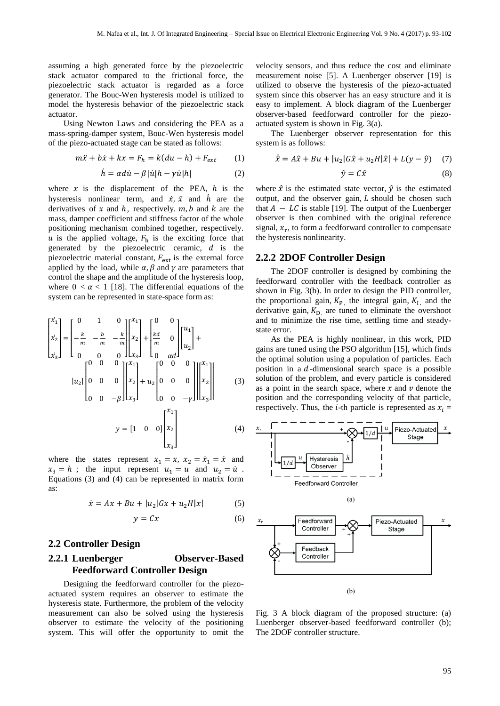assuming a high generated force by the piezoelectric stack actuator compared to the frictional force, the piezoelectric stack actuator is regarded as a force generator. The Bouc-Wen hysteresis model is utilized to model the hysteresis behavior of the piezoelectric stack actuator.

Using Newton Laws and considering the PEA as a mass-spring-damper system, Bouc-Wen hysteresis model of the piezo-actuated stage can be stated as follows:

$$
m\ddot{x} + b\dot{x} + kx = F_h = k(du - h) + F_{ext}
$$
 (1)

$$
\dot{h} = \alpha d\dot{u} - \beta |\dot{u}| h - \gamma \dot{u} |h| \tag{2}
$$

where  $x$  is the displacement of the PEA,  $h$  is the hysteresis nonlinear term, and  $\dot{x}$ ,  $\ddot{x}$  and  $\dot{h}$  are the derivatives of  $x$  and  $h$ , respectively.  $m, b$  and  $k$  are the mass, damper coefficient and stiffness factor of the whole positioning mechanism combined together, respectively.  $u$  is the applied voltage,  $F_h$  is the exciting force that generated by the piezoelectric ceramic,  $d$  is the piezoelectric material constant,  $F_{\text{ext}}$  is the external force applied by the load, while  $\alpha$ ,  $\beta$  and  $\gamma$  are parameters that control the shape and the amplitude of the hysteresis loop, where  $0 < \alpha < 1$  [\[18\]](#page-8-17). The differential equations of the system can be represented in state-space form as:

$$
\begin{bmatrix} \dot{x}_1 \\ \dot{x}_2 \\ \dot{x}_3 \end{bmatrix} = \begin{bmatrix} 0 & 1 & 0 \\ -\frac{k}{m} & -\frac{b}{m} & -\frac{k}{m} \end{bmatrix} \begin{bmatrix} x_1 \\ x_2 \\ x_3 \end{bmatrix} + \begin{bmatrix} 0 & 0 \\ \frac{kd}{m} & 0 \\ 0 & \alpha d \end{bmatrix} \begin{bmatrix} u_1 \\ u_2 \end{bmatrix} + \begin{bmatrix} u_2 \\ u_3 \end{bmatrix}
$$

$$
|u_2| \begin{bmatrix} 0 & 0 & 0 \\ 0 & 0 & 0 \\ 0 & 0 & -\beta \end{bmatrix} \begin{bmatrix} x_1 \\ x_2 \\ x_3 \end{bmatrix} + u_2 \begin{bmatrix} 0 & 0 & 0 \\ 0 & 0 & 0 \\ 0 & 0 & -\gamma \end{bmatrix} \begin{bmatrix} x_1 \\ x_2 \\ x_3 \end{bmatrix}
$$

$$
y = \begin{bmatrix} 1 & 0 & 0 \end{bmatrix} \begin{bmatrix} x_1 \\ x_2 \\ x_3 \end{bmatrix}
$$

$$
(4)
$$

where the states represent  $x_1 = x$ ,  $x_2 = \dot{x}_1 = \dot{x}$  and  $x_3 = h$ ; the input represent  $u_1 = u$  and  $u_2 = \dot{u}$ . Equations (3) and (4) can be represented in matrix form as:

$$
\dot{x} = Ax + Bu + |u_2|Gx + u_2H|x| \tag{5}
$$

$$
y = Cx \tag{6}
$$

## **2.2 Controller Design**

# **2.2.1 Luenberger Observer-Based Feedforward Controller Design**

Designing the feedforward controller for the piezoactuated system requires an observer to estimate the hysteresis state. Furthermore, the problem of the velocity measurement can also be solved using the hysteresis observer to estimate the velocity of the positioning system. This will offer the opportunity to omit the

velocity sensors, and thus reduce the cost and eliminate measurement noise [\[5\]](#page-8-4). A Luenberger observer [\[19\]](#page-8-18) is utilized to observe the hysteresis of the piezo-actuated system since this observer has an easy structure and it is easy to implement. A block diagram of the Luenberger observer-based feedforward controller for the piezoactuated system is shown in Fig. 3(a).

The Luenberger observer representation for this system is as follows:

$$
\dot{\hat{x}} = A\hat{x} + Bu + |u_2|G\hat{x} + u_2H|\hat{x}| + L(y - \hat{y}) \quad (7)
$$

$$
\hat{y} = C\hat{x} \tag{8}
$$

where  $\hat{x}$  is the estimated state vector,  $\hat{y}$  is the estimated output, and the observer gain,  $L$  should be chosen such that  $A - LC$  is stable [\[19\]](#page-8-18). The output of the Luenberger observer is then combined with the original reference signal,  $x_r$ , to form a feedforward controller to compensate the hysteresis nonlinearity.

### **2.2.2 2DOF Controller Design**

The 2DOF controller is designed by combining the feedforward controller with the feedback controller as shown in Fig. 3(b). In order to design the PID controller, the proportional gain,  $K_{P}$ , the integral gain,  $K_{I}$ , and the derivative gain,  $K_{\text{D}}$  are tuned to eliminate the overshoot and to minimize the rise time, settling time and steadystate error.

As the PEA is highly nonlinear, in this work, PID gains are tuned using the PSO algorithm [\[15\]](#page-8-14), which finds the optimal solution using a population of particles. Each position in a  $d$ -dimensional search space is a possible solution of the problem, and every particle is considered as a point in the search space, where  $x$  and  $v$  denote the position and the corresponding velocity of that particle, respectively. Thus, the *i*-th particle is represented as  $x_i$  =



Fig. 3 A block diagram of the proposed structure: (a) Luenberger observer-based feedforward controller (b); The 2DOF controller structure.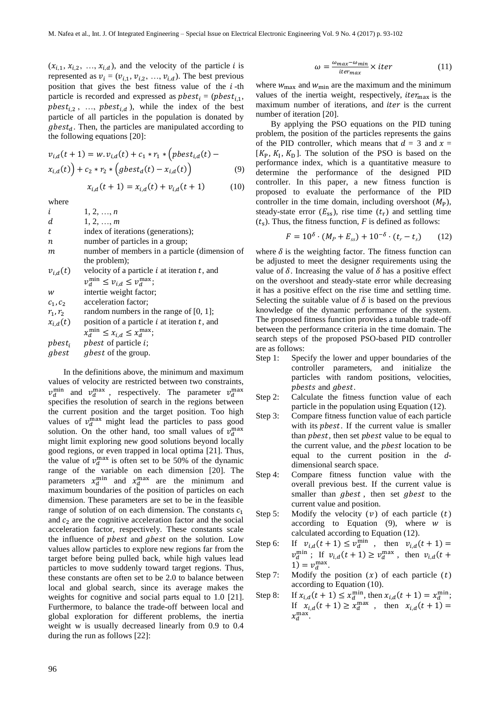$(x_{i,1}, x_{i,2}, ..., x_{i,d})$ , and the velocity of the particle *i* is represented as  $v_i = (v_{i,1}, v_{i,2}, ..., v_{i,d})$ . The best previous position that gives the best fitness value of the  $i$ -th particle is recorded and expressed as  $pbest_i = (pbest_{i,1},$ pbest<sub>i,2</sub>, ..., pbest<sub>i,d</sub>), while the index of the best particle of all particles in the population is donated by  $gbest_d$ . Then, the particles are manipulated according to the following equations [\[20\]](#page-8-19):

$$
v_{i,d}(t+1) = w \t v_{i,d}(t) + c_1 * r_1 * (pbest_{i,d}(t) - x_{i,d}(t)) + c_2 * r_2 * (gbest_d(t) - x_{i,d}(t))
$$
\n(9)

$$
x_{i,d}(t+1) = x_{i,d}(t) + v_{i,d}(t+1) \tag{10}
$$

where

| i                | 1, 2, , n                                         |
|------------------|---------------------------------------------------|
| d                | 1, 2, , m                                         |
| t                | index of iterations (generations);                |
| $\boldsymbol{n}$ | number of particles in a group;                   |
| m                | number of members in a particle (dimension of     |
|                  | the problem);                                     |
| $v_{i,d}(t)$     | velocity of a particle $i$ at iteration $t$ , and |
|                  | $v_d^{\min} \le v_{i,d} \le v_d^{\max};$          |
| w                | intertie weight factor;                           |
| $C_1, C_2$       | acceleration factor;                              |
| $r_1, r_2$       | random numbers in the range of $[0, 1]$ ;         |
| $x_{i,d}(t)$     | position of a particle $i$ at iteration $t$ , and |
|                  | $x_d^{\min} \leq x_{i,d} \leq x_d^{\max};$        |
|                  | $pbest_i$ phest of particle i;                    |
|                  | gbest gbest of the group.                         |
|                  |                                                   |

In the definitions above, the minimum and maximum values of velocity are restricted between two constraints,  $v_d^{\text{min}}$  and  $v_d^{\text{max}}$ , respectively. The parameter  $v_d^{\text{min}}$ specifies the resolution of search in the regions between the current position and the target position. Too high values of  $v_d^{\text{max}}$  might lead the particles to pass good solution. On the other hand, too small values of  $v_d^{\text{m}}$ might limit exploring new good solutions beyond locally good regions, or even trapped in local optima [\[21\]](#page-8-20). Thus, the value of  $v_d^{\text{max}}$  is often set to be 50% of the dynamic range of the variable on each dimension [\[20\]](#page-8-19). The parameters  $x_d^{\text{min}}$  and  $x_d^{\text{max}}$  are the minimum and maximum boundaries of the position of particles on each dimension. These parameters are set to be in the feasible range of solution of on each dimension. The constants  $c_1$ and  $c<sub>2</sub>$  are the cognitive acceleration factor and the social acceleration factor, respectively. These constants scale the influence of *phest* and *ghest* on the solution. Low values allow particles to explore new regions far from the target before being pulled back, while high values lead particles to move suddenly toward target regions. Thus, these constants are often set to be 2.0 to balance between local and global search, since its average makes the weights for cognitive and social parts equal to 1.0 [\[21\]](#page-8-20). Furthermore, to balance the trade-off between local and global exploration for different problems, the inertia weight w is usually decreased linearly from 0.9 to 0.4 during the run as follows [\[22\]](#page-9-0):

$$
\omega = \frac{\omega_{max} - \omega_{min}}{iter_{max}} \times iter \tag{11}
$$

where  $w_{\text{max}}$  and  $w_{\text{min}}$  are the maximum and the minimum values of the inertia weight, respectively,  $iter_{\text{max}}$  is the maximum number of iterations, and iter is the current number of iteration [\[20\]](#page-8-19).

By applying the PSO equations on the PID tuning problem, the position of the particles represents the gains of the PID controller, which means that  $d = 3$  and  $x =$  $[K_{\rm P}, K_{\rm I}, K_{\rm D}]$ . The solution of the PSO is based on the performance index, which is a quantitative measure to determine the performance of the designed PID controller. In this paper, a new fitness function is proposed to evaluate the performance of the PID controller in the time domain, including overshoot  $(M_{\rm p})$ , steady-state error  $(E_{ss})$ , rise time  $(t_r)$  and settling time  $(t<sub>s</sub>)$ . Thus, the fitness function, *F* is defined as follows:

$$
F = 10^{\delta} \cdot (M_P + E_{ss}) + 10^{-\delta} \cdot (t_r - t_s) \tag{12}
$$

where  $\delta$  is the weighting factor. The fitness function can be adjusted to meet the designer requirements using the value of  $\delta$ . Increasing the value of  $\delta$  has a positive effect on the overshoot and steady-state error while decreasing it has a positive effect on the rise time and settling time. Selecting the suitable value of  $\delta$  is based on the previous knowledge of the dynamic performance of the system. The proposed fitness function provides a tunable trade-off between the performance criteria in the time domain. The search steps of the proposed PSO-based PID controller are as follows:

- Step 1: Specify the lower and upper boundaries of the controller parameters, and initialize the particles with random positions, velocities, pbests and gbest.
- Step 2: Calculate the fitness function value of each particle in the population using Equation (12).
- Step 3: Compare fitness function value of each particle with its *pbest*. If the current value is smaller than *pbest*, then set *pbest* value to be equal to the current value, and the *phest* location to be equal to the current position in the *d*dimensional search space.
- Step 4: Compare fitness function value with the overall previous best. If the current value is smaller than  $gbest$ , then set  $gbest$  to the current value and position.
- Step 5: Modify the velocity  $(v)$  of each particle  $(t)$ according to Equation  $(9)$ , where w is calculated according to Equation (12).
- Step 6:  $(t+1) \le v_d^{\min}$ , then  $v_{i,d}(t+1) =$  $v_d^{\min}$ ; If  $v_{i,d}(t+1) \ge v_d^{\max}$ , then  $v_{i,d}(t)$  $1) = v_d^{\text{max}}.$
- Step 7: Modify the position  $(x)$  of each particle  $(t)$ according to Equation (10).
- Step 8:  $(t + 1) \le x_d^{\min}$ , then  $x_{i,d}(t + 1) = x_d^{\min}$ ; If  $x_{i,d}(t+1) \ge x_d^{\max}$ , then  $x_{i,d}(t+1) =$  $x_d^{\text{max}}$ .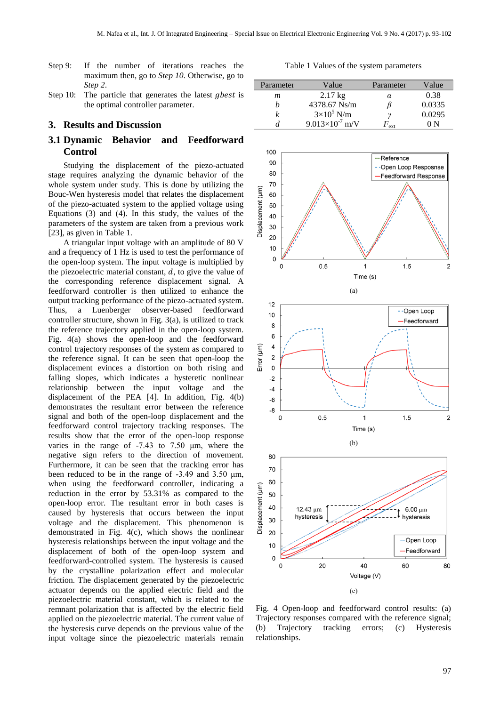- Step 9: If the number of iterations reaches the maximum then, go to *Step 10*. Otherwise, go to *Step 2*.
- Step 10: The particle that generates the latest *gbest* is the optimal controller parameter.

## **3. Results and Discussion**

# **3.1 Dynamic Behavior and Feedforward Control**

Studying the displacement of the piezo-actuated stage requires analyzing the dynamic behavior of the whole system under study. This is done by utilizing the Bouc-Wen hysteresis model that relates the displacement of the piezo-actuated system to the applied voltage using Equations (3) and (4). In this study, the values of the parameters of the system are taken from a previous work [\[23\]](#page-9-1), as given in Table 1.

A triangular input voltage with an amplitude of 80 V and a frequency of 1 Hz is used to test the performance of the open-loop system. The input voltage is multiplied by the piezoelectric material constant,  $d$ , to give the value of the corresponding reference displacement signal. A feedforward controller is then utilized to enhance the output tracking performance of the piezo-actuated system. Thus, a Luenberger observer-based feedforward controller structure, shown in Fig. 3(a), is utilized to track the reference trajectory applied in the open-loop system. Fig. 4(a) shows the open-loop and the feedforward control trajectory responses of the system as compared to the reference signal. It can be seen that open-loop the displacement evinces a distortion on both rising and falling slopes, which indicates a hysteretic nonlinear relationship between the input voltage and the displacement of the PEA [\[4\]](#page-8-3). In addition, Fig. 4(b) demonstrates the resultant error between the reference signal and both of the open-loop displacement and the feedforward control trajectory tracking responses. The results show that the error of the open-loop response varies in the range of -7.43 to 7.50 μm, where the negative sign refers to the direction of movement. Furthermore, it can be seen that the tracking error has been reduced to be in the range of -3.49 and 3.50 μm, when using the feedforward controller, indicating a reduction in the error by 53.31% as compared to the open-loop error. The resultant error in both cases is caused by hysteresis that occurs between the input voltage and the displacement. This phenomenon is demonstrated in Fig. 4(c), which shows the nonlinear hysteresis relationships between the input voltage and the displacement of both of the open-loop system and feedforward-controlled system. The hysteresis is caused by the crystalline polarization effect and molecular friction. The displacement generated by the piezoelectric actuator depends on the applied electric field and the piezoelectric material constant, which is related to the remnant polarization that is affected by the electric field applied on the piezoelectric material. The current value of the hysteresis curve depends on the previous value of the input voltage since the piezoelectric materials remain

Table 1 Values of the system parameters

| Parameter | Value                    | Parameter | Value  |
|-----------|--------------------------|-----------|--------|
| m         | $2.17 \text{ kg}$        | α         | 0.38   |
| h         | 4378.67 Ns/m             |           | 0.0335 |
| k         | $3\times10^5$ N/m        |           | 0.0295 |
|           | $9.013\times10^{-7}$ m/V | ext       | () N   |



Fig. 4 Open-loop and feedforward control results: (a) Trajectory responses compared with the reference signal; (b) Trajectory tracking errors; (c) Hysteresis relationships.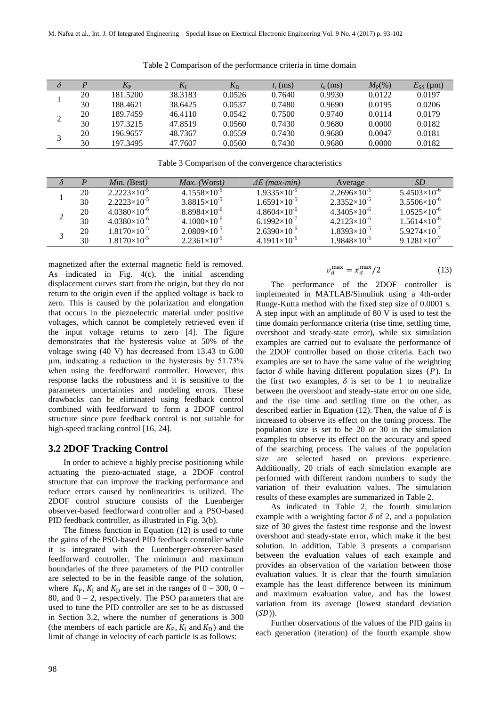| $\delta$     | $\boldsymbol{D}$ | $K_{\rm P}$ | $\mathbf{v}$ | $K_{\rm D}$ | $t_{\rm r}$ (ms) | $t_{s}$ (ms) | $M_{\rm P}(\%)$ | $E_{SS}$ (µm) |
|--------------|------------------|-------------|--------------|-------------|------------------|--------------|-----------------|---------------|
|              | 20               | 181.5200    | 38.3183      | 0.0526      | 0.7640           | 0.9930       | 0.0122          | 0.0197        |
|              | 30               | 188.4621    | 38.6425      | 0.0537      | 0.7480           | 0.9690       | 0.0195          | 0.0206        |
| ↑            | 20               | 189.7459    | 46.4110      | 0.0542      | 0.7500           | 0.9740       | 0.0114          | 0.0179        |
|              | 30               | 197.3215    | 47.8519      | 0.0560      | 0.7430           | 0.9680       | 0.0000          | 0.0182        |
| $\mathbf{z}$ | 20               | 196.9657    | 48.7367      | 0.0559      | 0.7430           | 0.9680       | 0.0047          | 0.0181        |
|              | 30               | 197.3495    | 47.7607      | 0.0560      | 0.7430           | 0.9680       | 0.0000          | 0.0182        |

Table 2 Comparison of the performance criteria in time domain

Table 3 Comparison of the convergence characteristics

| $4.1558\times10^{-5}$<br>$2.2696\times10^{-5}$<br>$1.9335\times10^{-5}$<br>$2.2223\times10^{-5}$<br>$5.4503\times10^{-6}$<br>20<br>$3.8815\times10^{-5}$<br>$1.6591\times10^{-5}$<br>$2.3352\times10^{-5}$<br>$2.2223\times10^{-5}$<br>$3.5506\times10^{-6}$<br>30<br>$8.8984\times10^{-6}$<br>$4.8604\times10^{-6}$<br>$4.3405\times10^{-6}$<br>$4.0380\times10^{-6}$<br>$1.0525\times10^{-6}$<br>20<br>↑<br>∠<br>$6.1992\times10^{-7}$<br>$4.1000\times10^{-6}$<br>$4.2123\times10^{-6}$<br>$1.5614\times10^{-8}$<br>$4.0380\times10^{-6}$<br>30<br>$2.6390\times10^{-6}$<br>$2.0809\times10^{-5}$<br>$1.8393\times10^{-5}$<br>$1.8170\times10^{-5}$<br>$5.9274\times10^{-7}$<br>20<br>3<br>$2.2361\times10^{-5}$<br>$4.1911\times10^{-6}$<br>$1.9848\times10^{-5}$<br>$9.1281\times10^{-7}$<br>$1.8170\times10^{-5}$<br>30 | P | <i>Min.</i> (Best) | <i>Max.</i> (Worst) | $\Delta E$ (max-min) | Average | <i>SD</i> |
|-------------------------------------------------------------------------------------------------------------------------------------------------------------------------------------------------------------------------------------------------------------------------------------------------------------------------------------------------------------------------------------------------------------------------------------------------------------------------------------------------------------------------------------------------------------------------------------------------------------------------------------------------------------------------------------------------------------------------------------------------------------------------------------------------------------------------------|---|--------------------|---------------------|----------------------|---------|-----------|
|                                                                                                                                                                                                                                                                                                                                                                                                                                                                                                                                                                                                                                                                                                                                                                                                                               |   |                    |                     |                      |         |           |
|                                                                                                                                                                                                                                                                                                                                                                                                                                                                                                                                                                                                                                                                                                                                                                                                                               |   |                    |                     |                      |         |           |
|                                                                                                                                                                                                                                                                                                                                                                                                                                                                                                                                                                                                                                                                                                                                                                                                                               |   |                    |                     |                      |         |           |
|                                                                                                                                                                                                                                                                                                                                                                                                                                                                                                                                                                                                                                                                                                                                                                                                                               |   |                    |                     |                      |         |           |
|                                                                                                                                                                                                                                                                                                                                                                                                                                                                                                                                                                                                                                                                                                                                                                                                                               |   |                    |                     |                      |         |           |
|                                                                                                                                                                                                                                                                                                                                                                                                                                                                                                                                                                                                                                                                                                                                                                                                                               |   |                    |                     |                      |         |           |

magnetized after the external magnetic field is removed. As indicated in Fig. 4(c), the initial ascending displacement curves start from the origin, but they do not return to the origin even if the applied voltage is back to zero. This is caused by the polarization and elongation that occurs in the piezoelectric material under positive voltages, which cannot be completely retrieved even if the input voltage returns to zero [\[4\]](#page-8-3). The figure demonstrates that the hysteresis value at 50% of the voltage swing (40 V) has decreased from 13.43 to 6.00 μm, indicating a reduction in the hysteresis by 51.73% when using the feedforward controller. However, this response lacks the robustness and it is sensitive to the parameters uncertainties and modeling errors. These drawbacks can be eliminated using feedback control combined with feedforward to form a 2DOF control structure since pure feedback control is not suitable for high-speed tracking control [\[16,](#page-8-15) [24\]](#page-9-2).

# **3.2 2DOF Tracking Control**

In order to achieve a highly precise positioning while actuating the piezo-actuated stage, a 2DOF control structure that can improve the tracking performance and reduce errors caused by nonlinearities is utilized. The 2DOF control structure consists of the Luenberger observer-based feedforward controller and a PSO-based PID feedback controller, as illustrated in Fig. 3(b).

The fitness function in Equation (12) is used to tune the gains of the PSO-based PID feedback controller while it is integrated with the Luenberger-observer-based feedforward controller. The minimum and maximum boundaries of the three parameters of the PID controller are selected to be in the feasible range of the solution, where  $K_{\rm P}$ ,  $K_{\rm I}$  and  $K_{\rm D}$  are set in the ranges of  $0 - 300$ ,  $0 -$ 80, and  $0 - 2$ , respectively. The PSO parameters that are used to tune the PID controller are set to be as discussed in Section 3.2, where the number of generations is 300 (the members of each particle are  $K_{P}$ ,  $K_{I}$  and  $K_{D}$ ) and the limit of change in velocity of each particle is as follows:

$$
v_d^{\text{max}} = x_d^{\text{max}} / 2 \tag{13}
$$

The performance of the 2DOF controller is implemented in MATLAB/Simulink using a 4th-order Runge-Kutta method with the fixed step size of 0.0001 s. A step input with an amplitude of 80 V is used to test the time domain performance criteria (rise time, settling time, overshoot and steady-state error), while six simulation examples are carried out to evaluate the performance of the 2DOF controller based on those criteria. Each two examples are set to have the same value of the weighting factor  $\delta$  while having different population sizes (P). In the first two examples,  $\delta$  is set to be 1 to neutralize between the overshoot and steady-state error on one side, and the rise time and settling time on the other, as described earlier in Equation (12). Then, the value of  $\delta$  is increased to observe its effect on the tuning process. The population size is set to be 20 or 30 in the simulation examples to observe its effect on the accuracy and speed of the searching process. The values of the population size are selected based on previous experience. Additionally, 20 trials of each simulation example are performed with different random numbers to study the variation of their evaluation values. The simulation results of these examples are summarized in Table 2.

As indicated in Table 2, the fourth simulation example with a weighting factor  $\delta$  of 2, and a population size of 30 gives the fastest time response and the lowest overshoot and steady-state error, which make it the best solution. In addition, Table 3 presents a comparison between the evaluation values of each example and provides an observation of the variation between those evaluation values. It is clear that the fourth simulation example has the least difference between its minimum and maximum evaluation value, and has the lowest variation from its average (lowest standard deviation  $(SD)$ ).

Further observations of the values of the PID gains in each generation (iteration) of the fourth example show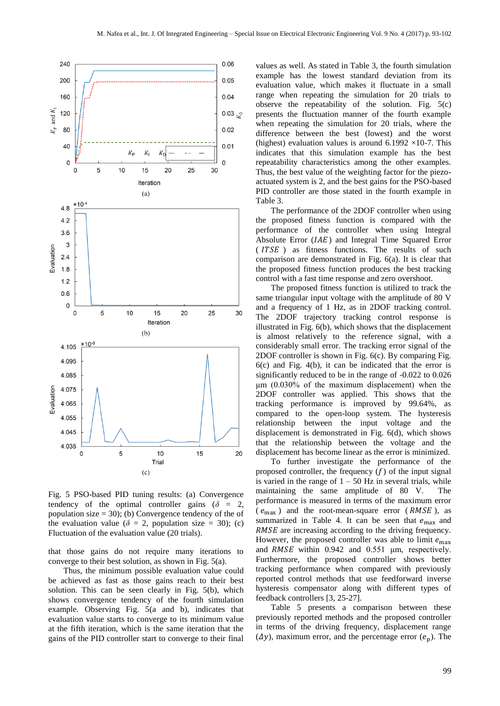

Fig. 5 PSO-based PID tuning results: (a) Convergence tendency of the optimal controller gains ( $\delta = 2$ , population size  $= 30$ ; (b) Convergence tendency of the of the evaluation value ( $\delta = 2$ , population size = 30); (c) Fluctuation of the evaluation value (20 trials).

that those gains do not require many iterations to converge to their best solution, as shown in Fig. 5(a).

Thus, the minimum possible evaluation value could be achieved as fast as those gains reach to their best solution. This can be seen clearly in Fig. 5(b), which shows convergence tendency of the fourth simulation example. Observing Fig. 5(a and b), indicates that evaluation value starts to converge to its minimum value at the fifth iteration, which is the same iteration that the gains of the PID controller start to converge to their final

values as well. As stated in Table 3, the fourth simulation example has the lowest standard deviation from its evaluation value, which makes it fluctuate in a small range when repeating the simulation for 20 trials to observe the repeatability of the solution. Fig. 5(c) presents the fluctuation manner of the fourth example when repeating the simulation for 20 trials, where the difference between the best (lowest) and the worst (highest) evaluation values is around  $6.1992 \times 10^{-7}$ . This indicates that this simulation example has the best repeatability characteristics among the other examples. Thus, the best value of the weighting factor for the piezoactuated system is 2, and the best gains for the PSO-based PID controller are those stated in the fourth example in Table 3.

The performance of the 2DOF controller when using the proposed fitness function is compared with the performance of the controller when using Integral Absolute Error  $(IAE)$  and Integral Time Squared Error  $(TTSE)$  as fitness functions. The results of such comparison are demonstrated in Fig. 6(a). It is clear that the proposed fitness function produces the best tracking control with a fast time response and zero overshoot.

The proposed fitness function is utilized to track the same triangular input voltage with the amplitude of 80 V and a frequency of 1 Hz, as in 2DOF tracking control. The 2DOF trajectory tracking control response is illustrated in Fig. 6(b), which shows that the displacement is almost relatively to the reference signal, with a considerably small error. The tracking error signal of the 2DOF controller is shown in Fig. 6(c). By comparing Fig. 6(c) and Fig. 4(b), it can be indicated that the error is significantly reduced to be in the range of -0.022 to 0.026 μm (0.030% of the maximum displacement) when the 2DOF controller was applied. This shows that the tracking performance is improved by 99.64%, as compared to the open-loop system. The hysteresis relationship between the input voltage and the displacement is demonstrated in Fig. 6(d), which shows that the relationship between the voltage and the displacement has become linear as the error is minimized.

To further investigate the performance of the proposed controller, the frequency  $(f)$  of the input signal is varied in the range of  $1 - 50$  Hz in several trials, while maintaining the same amplitude of 80 V. The performance is measured in terms of the maximum error  $(e_{\text{max}})$  and the root-mean-square error (*RMSE*), as summarized in Table 4. It can be seen that  $e_{\text{max}}$  and RMSE are increasing according to the driving frequency. However, the proposed controller was able to limit  $e_{\text{max}}$ and  $RMSE$  within 0.942 and 0.551  $\mu$ m, respectively. Furthermore, the proposed controller shows better tracking performance when compared with previously reported control methods that use feedforward inverse hysteresis compensator along with different types of feedback controllers [\[3,](#page-8-2) [25-27\]](#page-9-3).

Table 5 presents a comparison between these previously reported methods and the proposed controller in terms of the driving frequency, displacement range  $(\Delta y)$ , maximum error, and the percentage error  $(e_p)$ . The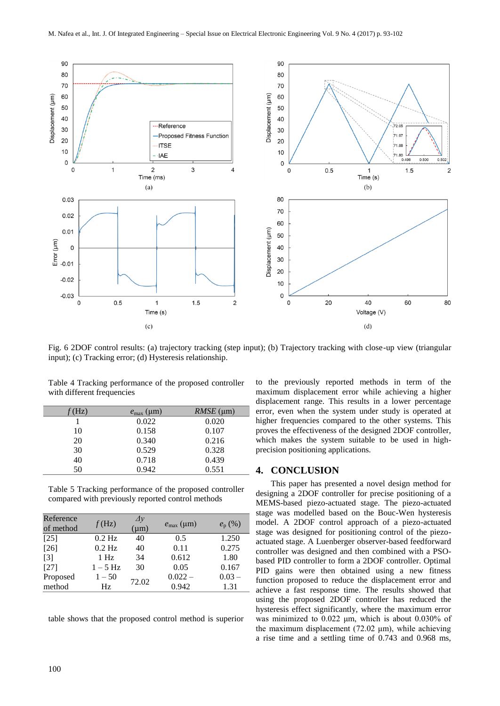

Fig. 6 2DOF control results: (a) trajectory tracking (step input); (b) Trajectory tracking with close-up view (triangular input); (c) Tracking error; (d) Hysteresis relationship.

Table 4 Tracking performance of the proposed controller with different frequencies

| (Hz) | $e_{\text{max}}$ (µm) | $RMSE$ (um) |
|------|-----------------------|-------------|
|      | 0.022                 | 0.020       |
| 10   | 0.158                 | 0.107       |
| 20   | 0.340                 | 0.216       |
| 30   | 0.529                 | 0.328       |
| 40   | 0.718                 | 0.439       |
| 50   | 0.942                 | 0.551       |

Table 5 Tracking performance of the proposed controller compared with previously reported control methods

| Reference<br>of method | f(Hz)    | $\Delta y$<br>$(\mu m)$ | $e_{\text{max}}$ (µm) | $e_{\rm p}$ (%) |
|------------------------|----------|-------------------------|-----------------------|-----------------|
| [25]                   | $0.2$ Hz | 40                      | 0.5                   | 1.250           |
| $[26]$                 | $0.2$ Hz | 40                      | 0.11                  | 0.275           |
| $\lceil 3 \rceil$      | $1$ Hz   | 34                      | 0.612                 | 1.80            |
| [27]                   | $1-5$ Hz | 30                      | 0.05                  | 0.167           |
| Proposed               | $1 - 50$ | 72.02                   | $0.022 -$             | $0.03 -$        |
| method                 | Hz       |                         | 0.942                 | 1.31            |

table shows that the proposed control method is superior

to the previously reported methods in term of the maximum displacement error while achieving a higher displacement range. This results in a lower percentage error, even when the system under study is operated at higher frequencies compared to the other systems. This proves the effectiveness of the designed 2DOF controller, which makes the system suitable to be used in highprecision positioning applications.

## **4. CONCLUSION**

This paper has presented a novel design method for designing a 2DOF controller for precise positioning of a MEMS-based piezo-actuated stage. The piezo-actuated stage was modelled based on the Bouc-Wen hysteresis model. A 2DOF control approach of a piezo-actuated stage was designed for positioning control of the piezoactuated stage. A Luenberger observer-based feedforward controller was designed and then combined with a PSObased PID controller to form a 2DOF controller. Optimal PID gains were then obtained using a new fitness function proposed to reduce the displacement error and achieve a fast response time. The results showed that using the proposed 2DOF controller has reduced the hysteresis effect significantly, where the maximum error was minimized to 0.022 μm, which is about 0.030% of the maximum displacement (72.02 μm), while achieving a rise time and a settling time of 0.743 and 0.968 ms,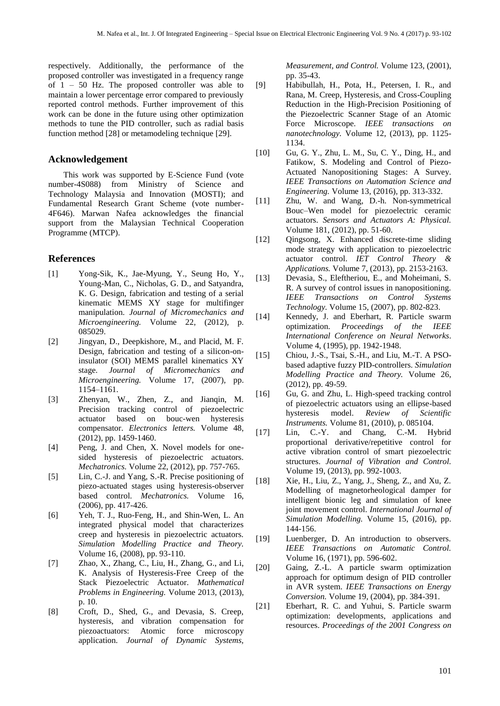respectively. Additionally, the performance of the proposed controller was investigated in a frequency range of 1 – 50 Hz. The proposed controller was able to maintain a lower percentage error compared to previously reported control methods. Further improvement of this work can be done in the future using other optimization methods to tune the PID controller, such as radial basis function method [\[28\]](#page-9-4) or metamodeling technique [\[29\]](#page-9-5).

### **Acknowledgement**

This work was supported by E-Science Fund (vote number-4S088) from Ministry of Science and Technology Malaysia and Innovation (MOSTI); and Fundamental Research Grant Scheme (vote number-4F646). Marwan Nafea acknowledges the financial support from the Malaysian Technical Cooperation Programme (MTCP).

## **References**

- <span id="page-8-0"></span>[1] Yong-Sik, K., Jae-Myung, Y., Seung Ho, Y., Young-Man, C., Nicholas, G. D., and Satyandra, K. G. Design, fabrication and testing of a serial kinematic MEMS XY stage for multifinger manipulation. *Journal of Micromechanics and Microengineering.* Volume 22, (2012), p. 085029.
- <span id="page-8-1"></span>[2] Jingyan, D., Deepkishore, M., and Placid, M. F. Design, fabrication and testing of a silicon-oninsulator (SOI) MEMS parallel kinematics XY stage. *Journal of Micromechanics and Microengineering.* Volume 17, (2007), pp. 1154–1161.
- <span id="page-8-2"></span>[3] Zhenyan, W., Zhen, Z., and Jianqin, M. Precision tracking control of piezoelectric actuator based on bouc-wen hysteresis compensator. *Electronics letters.* Volume 48, (2012), pp. 1459-1460.
- <span id="page-8-3"></span>[4] Peng, J. and Chen, X. Novel models for onesided hysteresis of piezoelectric actuators. *Mechatronics.* Volume 22, (2012), pp. 757-765.
- <span id="page-8-4"></span>[5] Lin, C.-J. and Yang, S.-R. Precise positioning of piezo-actuated stages using hysteresis-observer based control. *Mechatronics.* Volume 16, (2006), pp. 417-426.
- <span id="page-8-5"></span>[6] Yeh, T. J., Ruo-Feng, H., and Shin-Wen, L. An integrated physical model that characterizes creep and hysteresis in piezoelectric actuators. *Simulation Modelling Practice and Theory.*  Volume 16, (2008), pp. 93-110.
- <span id="page-8-6"></span>[7] Zhao, X., Zhang, C., Liu, H., Zhang, G., and Li, K. Analysis of Hysteresis-Free Creep of the Stack Piezoelectric Actuator. *Mathematical Problems in Engineering.* Volume 2013, (2013), p. 10.
- <span id="page-8-7"></span>[8] Croft, D., Shed, G., and Devasia, S. Creep, hysteresis, and vibration compensation for piezoactuators: Atomic force microscopy application. *Journal of Dynamic Systems,*

*Measurement, and Control.* Volume 123, (2001), pp. 35-43.

- <span id="page-8-8"></span>[9] Habibullah, H., Pota, H., Petersen, I. R., and Rana, M. Creep, Hysteresis, and Cross-Coupling Reduction in the High-Precision Positioning of the Piezoelectric Scanner Stage of an Atomic Force Microscope. *IEEE transactions on nanotechnology.* Volume 12, (2013), pp. 1125- 1134.
- <span id="page-8-9"></span>[10] Gu, G. Y., Zhu, L. M., Su, C. Y., Ding, H., and Fatikow, S. Modeling and Control of Piezo-Actuated Nanopositioning Stages: A Survey. *IEEE Transactions on Automation Science and Engineering.* Volume 13, (2016), pp. 313-332.
- <span id="page-8-10"></span>[11] Zhu, W. and Wang, D.-h. Non-symmetrical Bouc–Wen model for piezoelectric ceramic actuators. *Sensors and Actuators A: Physical.*  Volume 181, (2012), pp. 51-60.
- <span id="page-8-11"></span>[12] Qingsong, X. Enhanced discrete-time sliding mode strategy with application to piezoelectric actuator control. *IET Control Theory & Applications.* Volume 7, (2013), pp. 2153-2163.
- <span id="page-8-12"></span>[13] Devasia, S., Eleftheriou, E., and Moheimani, S. R. A survey of control issues in nanopositioning. *IEEE Transactions on Control Systems Technology.* Volume 15, (2007), pp. 802-823.
- <span id="page-8-13"></span>[14] Kennedy, J. and Eberhart, R. Particle swarm optimization. *Proceedings of the IEEE International Conference on Neural Networks*. Volume 4, (1995), pp. 1942-1948.
- <span id="page-8-14"></span>[15] Chiou, J.-S., Tsai, S.-H., and Liu, M.-T. A PSObased adaptive fuzzy PID-controllers. *Simulation Modelling Practice and Theory.* Volume 26, (2012), pp. 49-59.
- <span id="page-8-15"></span>[16] Gu, G. and Zhu, L. High-speed tracking control of piezoelectric actuators using an ellipse-based hysteresis model. *Review of Scientific Instruments.* Volume 81, (2010), p. 085104.
- <span id="page-8-16"></span>[17] Lin, C.-Y. and Chang, C.-M. Hybrid proportional derivative/repetitive control for active vibration control of smart piezoelectric structures. *Journal of Vibration and Control.*  Volume 19, (2013), pp. 992-1003.
- <span id="page-8-17"></span>[18] Xie, H., Liu, Z., Yang, J., Sheng, Z., and Xu, Z. Modelling of magnetorheological damper for intelligent bionic leg and simulation of knee joint movement control. *International Journal of Simulation Modelling.* Volume 15, (2016), pp. 144-156.
- <span id="page-8-18"></span>[19] Luenberger, D. An introduction to observers. *IEEE Transactions on Automatic Control.*  Volume 16, (1971), pp. 596-602.
- <span id="page-8-19"></span>[20] Gaing, Z.-L. A particle swarm optimization approach for optimum design of PID controller in AVR system. *IEEE Transactions on Energy Conversion.* Volume 19, (2004), pp. 384-391.
- <span id="page-8-20"></span>[21] Eberhart, R. C. and Yuhui, S. Particle swarm optimization: developments, applications and resources. *Proceedings of the 2001 Congress on*